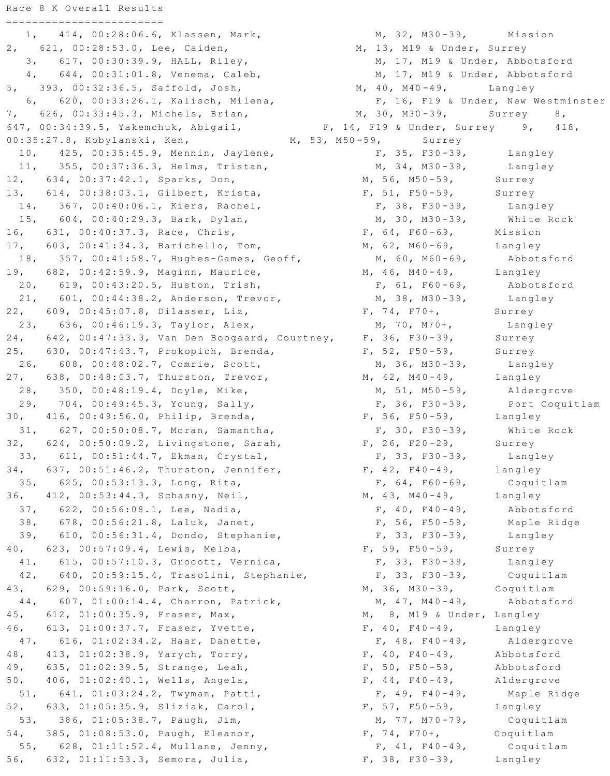Race 8 K Overall Results ======================== 1, 414, 00:28:06.6, Klassen, Mark, 2, 621, 00:28:53.0, Lee, Caiden, 3, 617, 00:30:39.9, HALL, Riley, 4, 644, 00:31:01.8, Venema, Caleb, 5, 393, 00:32:36.5, Saffold, Josh, 6, 620, 00:33:26.1, Kalisch, Milena, 7, 626, 00:33:45.3, Michels, Brian, 647, 00:34:39.5, Yakemchuk, Abigail, 00:35:27.8, Kobylanski, Ken, 10, 425, 00:35:45.9, Mennin, Jaylene, 11, 355, 00:37:36.3, Helms, Tristan, 12, 634, 00:37:42.1, Sparks, Don, 13, 614, 00:38:03.1, Gilbert, Krista, 14, 367, 00:40:06.1, Kiers, Rachel, 15, 604, 00:40:29.3, Bark, Dylan, 16, 631, 00:40:37.3, Race, Chris, 17, 603, 00:41:34.3, Barichello, Tom, 18, 357, 00:41:58.7, Hughes-Games, Geoff, 19, 682, 00:42:59.9, Maginn, Maurice, 20, 619, 00:43:20.5, Huston, Trish, 21, 601, 00:44:38.2, Anderson, Trevor, 22, 609, 00:45:07.8, Dilasser, Liz, 23, 636, 00:46:19.3, Taylor, Alex, 24, 642, 00:47:33.3, Van Den Boogaard, Courtney, 25, 630, 00:47:43.7, Prokopich, Brenda, 26, 608, 00:48:02.7, Comrie, Scott, 27, 638, 00:48:03.7, Thurston, Trevor, 28, 350, 00:48:19.4, Doyle, Mike, 29, 704, 00:49:45.3, Young, Sally, 30, 416, 00:49:56.0, Philip, Brenda, 31, 627, 00:50:08.7, Moran, Samantha, 32, 624, 00:50:09.2, Livingstone, Sarah, 33, 611, 00:51:44.7, Ekman, Crystal, 34, 637, 00:51:46.2, Thurston, Jennifer, 35, 625, 00:53:13.3, Long, Rita, 36, 412, 00:53:44.3, Schasny, Neil, 37, 622, 00:56:08.1, Lee, Nadia, 38, 678, 00:56:21.8, Laluk, Janet, 39, 610, 00:56:31.4, Dondo, Stephanie, 40, 623, 00:57:09.4, Lewis, Melba, 41, 615, 00:57:10.3, Grocott, Vernica, 42, 640, 00:59:15.4, Trasolini, Stephanie, 43, 629, 00:59:16.0, Park, Scott, 44, 607, 01:00:14.4, Charron, Patrick, 45, 612, 01:00:35.9, Fraser, Max, 46, 613, 01:00:37.7, Fraser, Yvette, 47, 616, 01:02:34.2, Haar, Danette, 48, 413, 01:02:38.9, Yarych, Torry, 49, 635, 01:02:39.5, Strange, Leah, 50, 406, 01:02:40.1, Wells, Angela, 51, 641, 01:03:24.2, Twyman, Patti, 52, 633, 01:05:35.9, Sliziak, Carol, 53, 386, 01:05:38.7, Paugh, Jim, 54, 385, 01:08:53.0, Paugh, Eleanor, 55, 628, 01:11:52.4, Mullane, Jenny, 56, 632, 01:11:53.3, Semora, Julia,

M, 32, M30-39, Mission M, 13, M19 & Under, Surrey M, 17, M19 & Under, Abbotsford M, 17, M19 & Under, Abbotsford M,  $40$ ,  $M40 - 49$ , Langley F, 16, F19 & Under, New Westminster M, 30, M30-39, Surrey 8, F, 14, F19 & Under, Surrey 9, 418, Surrey M, 53, M50-59,  $F, 35, F30-39,$ Langley M,  $34$ , M30-39, Langley M, 56, M50-59, Surrey  $F$ , 51, F50-59, Surrey  $F, 38, F30-39,$ Langley M, 30, M30-39, White Rock  $F, 64, F60-69,$ Mission M, 62, M60-69, Langley M, 60, M60-69, Abbotsford  $M, 46, M40-49,$ Langley Abbotsford  $F, 61, F60-69,$  $M, 38, M30-39,$ Langley  $F$ , 74, F70+, Surrey  $M$ , 70, M70+, Langley  $F, 36, F30-39,$ Surrey  $F$ , 52, F50-59, Surrey M, 36, M30-39, Langley M,  $42$ , M $40 - 49$ , langley M, 51, M50-59, Aldergrove  $F, 36, F30-39,$ Port Coquitlam  $F$ , 56, F50-59, Langley  $F, 30, F30-39,$ White Rock  $F$ , 26, F20-29, Surrey  $F, 33, F30-39,$ Langley  $F$ , 42, F40-49, langley  $F, 64, F60-69,$ Coquitlam  $M, 43, M40-49,$ Langley  $F, 40, F40-49,$ Abbotsford  $F, 56, F50-59,$ Maple Ridge  $F, 33, F30-39,$ Langley  $F, 59, F50-59,$ Surrey  $F, 33, F30-39,$ Langley  $F, 33, F30-39,$ Coquitlam M, 36, M30-39, Coquitlam  $M, 47, M40-49,$ Abbotsford M, 8, M19 & Under, Langley  $F, 40, F40-49,$ Langley  $F, 48, F40-49,$ Aldergrove  $F$ , 40, F40-49, Abbotsford  $F, 50, F50-59,$ Abbotsford  $F$ , 44, F40-49, Aldergrove  $F$ , 49, F40-49, Maple Ridge  $F$ , 57, F50-59, Langley  $M, 77, M70-79,$ Coquitlam  $F$ , 74, F70+, Coquitlam  $F$ , 41, F40-49, Coquitlam  $F$ , 38, F30-39, Langley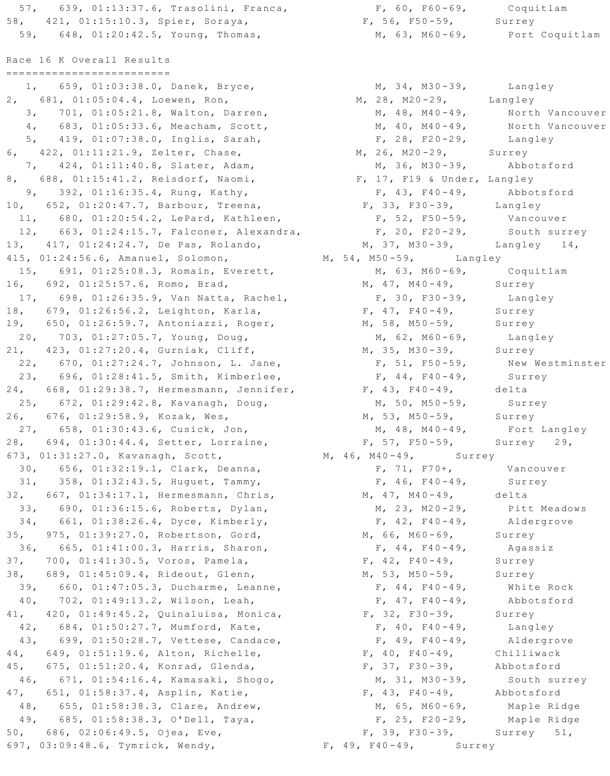57, 639, 01:13:37.6, Trasolini, Franca, 58, 421, 01:15:10.3, Spier, Soraya, 59, 648, 01:20:42.5, Young, Thomas, Race 16 K Overall Results ========================= 1, 659, 01:03:38.0, Danek, Bryce, 2, 681, 01:05:04.4, Loewen, Ron, 3, 701, 01:05:21.8, Walton, Darren, 4, 683, 01:05:33.6, Meacham, Scott, 5, 419, 01:07:38.0, Inglis, Sarah, 6, 422, 01:11:21.9, Zelter, Chase, 7, 424, 01:11:40.8, Slater, Adam, 8, 688, 01:15:41.2, Reisdorf, Naomi, 9, 392, 01:16:35.4, Rung, Kathy, 10, 652, 01:20:47.7, Barbour, Treena, 11, 680, 01:20:54.2, LePard, Kathleen, 12, 663, 01:24:15.7, Falconer, Alexandra, 13, 417, 01:24:24.7, De Pas, Rolando, 415, 01:24:56.6, Amanuel, Solomon, 15, 691, 01:25:08.3, Romain, Everett, 16, 692, 01:25:57.6, Romo, Brad, 17, 698, 01:26:35.9, Van Natta, Rachel, 18, 679, 01:26:56.2, Leighton, Karla, 19, 650, 01:26:59.7, Antoniazzi, Roger, 20, 703, 01:27:05.7, Young, Doug, 21, 423, 01:27:20.4, Gurniak, Cliff, 22, 670, 01:27:24.7, Johnson, L. Jane, 23, 696, 01:28:41.5, Smith, Kimberlee, 24, 668, 01:29:38.7, Hermesmann, Jennifer, 25, 672, 01:29:42.8, Kavanagh, Doug, 26, 676, 01:29:58.9, Kozak, Wes, 27, 658, 01:30:43.6, Cusick, Jon, 28, 694, 01:30:44.4, Setter, Lorraine, 673, 01:31:27.0, Kavanagh, Scott, 30, 656, 01:32:19.1, Clark, Deanna, 31, 358, 01:32:43.5, Huguet, Tammy, 32, 667, 01:34:17.1, Hermesmann, Chris, 33, 690, 01:36:15.6, Roberts, Dylan, 34, 661, 01:38:26.4, Dyce, Kimberly, 35, 975, 01:39:27.0, Robertson, Gord, 36, 665, 01:41:00.3, Harris, Sharon, 37, 700, 01:41:30.5, Voros, Pamela, 38, 689, 01:45:09.4, Rideout, Glenn, 39, 660, 01:47:05.3, Ducharme, Leanne, 40, 702, 01:49:13.2, Wilson, Leah, 41, 420, 01:49:45.2, Quinaluisa, Monica, 42, 684, 01:50:27.7, Mumford, Kate, 43, 699, 01:50:28.7, Vettese, Candace, 44, 649, 01:51:19.6, Alton, Richelle, 45, 675, 01:51:20.4, Konrad, Glenda, 46, 671, 01:54:16.4, Kamasaki, Shogo, 47, 651, 01:58:37.4, Asplin, Katie, 48, 655, 01:58:38.3, Clare, Andrew, 49, 685, 01:58:38.3, O'Dell, Taya, 50, 686, 02:06:49.5, Ojea, Eve, 697, 03:09:48.6, Tymrick, Wendy,

 $F$ , 60, F60-69, Coquitlam  $F$ , 56, F50-59, Surrey M, 63, M60-69, Port Coquitlam M, 34, M30-39, Langley<br>M, 28, M20-29, Langley M, 48, M40-49, North Vancouver M,  $40$ ,  $M40 - 49$ , North Vancouver Langley  $F$ , 28,  $F20-29$ , M, 26, M20-29, Surrey M, 36, M30-39, Abbotsford F, 17, F19 & Under, Langley  $F$ , 43, F40-49, Abbotsford  $F, 33, F30-39,$ Langley  $F$ , 52, F50-59, Vancouver F, 20, F20-29, South surre<br>M, 37, M30-39, Langley 14, South surrey M, 54, M50-59, Langley M, 63, M60-69, Coquitlam M,  $47$ , M40-49, Surrey  $F, 30, F30-39,$ Langley  $F$ , 47, F40-49, Surrey M, 58, M50-59, Surrey  $M, 62, M60-69,$ Langley M, 35, M30-39, Surrey New Westminster  $F, 51, F50-59,$  $F$ , 44, F40-49, Surrey  $F, 43, F40-49,$ delta  $M, 50, M50-59,$ Surrey M, 53, M50-59, Surrey  $M, 48, M40 - 49,$ Fort Langley  $F$ , 57, F50-59, Surrey 29, M, 46, M40-49, Surrey  $F, 71, F70+,$ Vancouver  $F$ , 46, F40-49, Surrey M,  $47$ , M $40-49$ , delta M, 23, M20-29, Pitt Meadows  $F, 42, F40-49,$ Aldergrove M, 66, M60-69, Surrey  $F$ , 44, F40-49, Agassiz  $F, 42, F40-49,$ Surrey  $M, 53, M50-59,$ Surrey  $F$ , 44, F40-49, White Rock  $F, 47, F40-49,$ Abbotsford  $F, 32, F30-39,$ Surrey  $F$ , 40, F40-49, Langley  $F$ , 49, F40-49, Aldergrove  $F$ , 40, F40-49, Chilliwack  $F$ , 37, F30-39, Abbotsford M, 31, M30-39, South surrey  $F$ , 43, F40-49, Abbotsford M, 65, M60-69, Maple Ridge Maple Ridge  $F$ , 25, F20-29, F, 39, F30-39, Surrey 51,

```
F, 49, F40-49, Surrey
```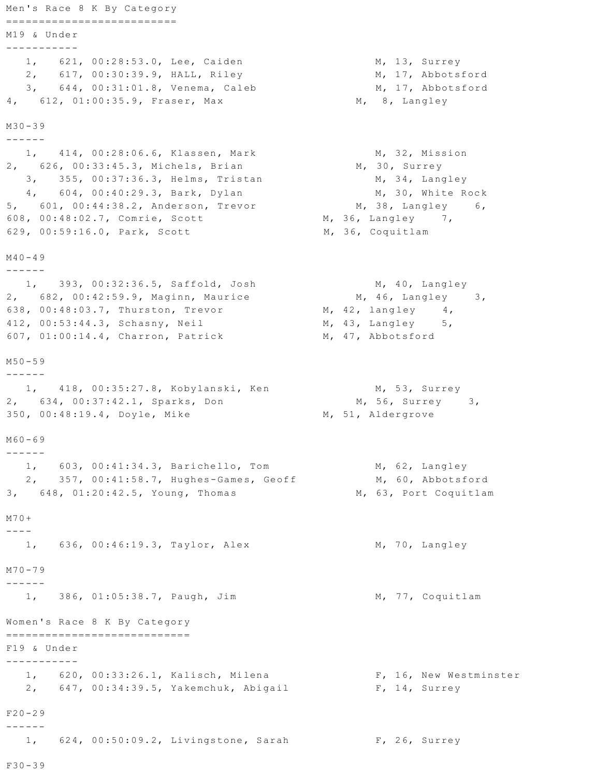```
Men's Race 8 K By Category
===========================
M19 & Under
-----------
  1, 621, 00:28:53.0, Lee, Caiden
  2, 617, 00:30:39.9, HALL, Riley
  3, 644, 00:31:01.8, Venema, Caleb
4, 612, 01:00:35.9, Fraser, Max
M30 - 39------
  1, 414, 00:28:06.6, Klassen, Mark
2, 626, 00:33:45.3, Michels, Brian
  3, 355, 00:37:36.3, Helms, Tristan
  4, 604, 00:40:29.3, Bark, Dylan
5, 601, 00:44:38.2, Anderson, Trevor
608, 00:48:02.7, Comrie, Scott
                                               M, 36, Coquitlam
629, 00:59:16.0, Park, Scott
M40 - 49\frac{1}{2}1, 393, 00:32:36.5, Saffold, Josh
2, 682, 00:42:59.9, Maginn, Maurice
638, 00:48:03.7, Thurston, Trevor
                                               M, 42, langley
412, 00:53:44.3, Schasny, Neil
                                                M, 47, Abbotsford
607, 01:00:14.4, Charron, Patrick
M50 - 59\begin{tabular}{ccccccccc} - & - & - & - & - & - \\ \hline \end{tabular}1, 418, 00:35:27.8, Kobylanski, Ken
2, 634, 00:37:42.1, Sparks, Don
350, 00:48:19.4, Doyle, Mike
                                               M, 51, Aldergrove
M60 - 69- - - - - -1, 603, 00:41:34.3, Barichello, Tom
  2, 357, 00:41:58.7, Hughes-Games, Geoff
3, 648, 01:20:42.5, Young, Thomas
M70+\frac{1}{2}1, 636, 00:46:19.3, Taylor, Alex
M70 - 79- - - - - -1, 386, 01:05:38.7, Paugh, Jim
Women's Race 8 K By Category
=============================
F19 & Under
1, 620, 00:33:26.1, Kalisch, Milena
   2, 647, 00:34:39.5, Yakemchuk, Abigail
F20 - 29\frac{1}{2}1, 624, 00:50:09.2, Livingstone, Sarah
                                                       F, 26, Surrey
F30 - 39
```

```
M, 13, Surrey
  M, 17, Abbotsford
  M, 17, Abbotsford
M, 8, Langley
```

```
M, 32, Mission
    M, 30, Surrey
        M, 34, Langley
        M, 30, White Rock
     M, 38, Langley 6,
M<sub>1</sub> 36, Langley 7,
```
M, 40, Langley  $M$ , 46, Langley 3,  $4<sub>l</sub>$  $M$ , 43, Langley 5,

M, 53, Surrey M, 56, Surrey 3,

> M, 62, Langley M, 60, Abbotsford M, 63, Port Coquitlam

M, 70, Langley

M, 77, Coquitlam

F, 16, New Westminster F, 14, Surrey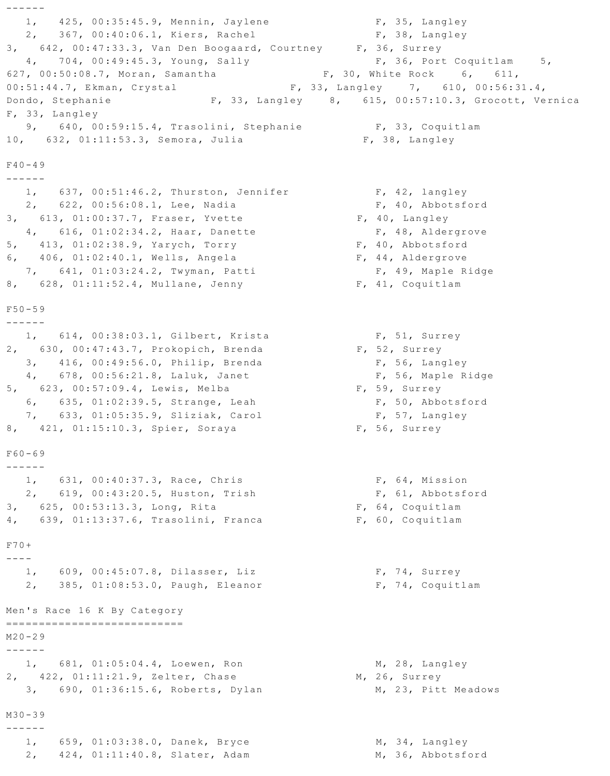```
- - - - - - -1, 425, 00:35:45.9, Mennin, Jaylene
                                                               F, 35, Langley
  2, 367, 00:40:06.1, Kiers, Rachel
                                                               F, 38, Langley
3, 642, 00:47:33.3, Van Den Boogaard, Courtney F, 36, Surrey
  4, 704, 00:49:45.3, Young, Sally
                                                                F, 36, Port Coquitlam 5,
627, 00:50:08.7, Moran, Samantha
                                                   F, 30, White Rock 6, 611,
                                                F, 33, Langley 7, 610, 00:56:31.4,
00:51:44.7, Ekman, Crystal
                                  F, 33, Langley 8, 615, 00:57:10.3, Grocott, Vernica
Dondo, Stephanie
F, 33, Langley
  9, 640, 00:59:15.4, Trasolini, Stephanie
                                                               F, 33, Coquitlam
10, 632, 01:11:53.3, Semora, Julia
                                                              F, 38, Langley
F40 - 49\begin{tabular}{cccccc} - & - & - & - & - \\ & - & - & - & - \\ & - & - & - & - \\ & - & - & - & - \\ & - & - & - & - \\ & - & - & - & - \\ & - & - & - & - \\ & - & - & - & - \\ & - & - & - & - \\ & - & - & - & - \\ & - & - & - & - \\ & - & - & - & - \\ & - & - & - & - \\ & - & - & - & - \\ & - & - & - & - \\ & - & - & - & - \\ & - & - & - & - \\ & - & - & - & - \\ & - & - & - & - \\ & - & - & - & - \\ & - & - & - & - \\ & - & - & - & - \\ & - & - & - & - \\ & - &1, 637, 00:51:46.2, Thurston, Jennifer
                                                               F, 42, langley
  2, 622, 00:56:08.1, Lee, Nadia
                                                               F, 40, Abbotsford
3, 613, 01:00:37.7, Fraser, Yvette
                                                            F, 40, Langley
  4, 616, 01:02:34.2, Haar, Danette
                                                               F, 48, Aldergrove
5, 413, 01:02:38.9, Yarych, Torry
                                                            F, 40, Abbotsford
                                                            F, 44, Aldergrove
6, 406, 01:02:40.1, Wells, Angela
  7, 641, 01:03:24.2, Twyman, Patti
                                                               F, 49, Maple Ridge
8, 628, 01:11:52.4, Mullane, Jenny
                                                           F, 41, Coquitlam
F50 - 59\frac{1}{2}1, 614, 00:38:03.1, Gilbert, Krista
                                                                F, 51, Surrey
2, 630, 00:47:43.7, Prokopich, Brenda
                                                            F, 52, Surrey
  3, 416, 00:49:56.0, Philip, Brenda
                                                                F, 56, Langley
  4, 678, 00:56:21.8, Laluk, Janet
                                                                F, 56, Maple Ridge
5, 623, 00:57:09.4, Lewis, Melba
                                                             F, 59, Surrey
   6, 635, 01:02:39.5, Strange, Leah
                                                               F, 50, Abbotsford
  7, 633, 01:05:35.9, Sliziak, Carol
                                                               F, 57, Langley
8, 421, 01:15:10.3, Spier, Soraya
                                                            F, 56, Surrey
F60 - 69- - - - - -1, 631, 00:40:37.3, Race, Chris
                                                               F, 64, Mission
  2, 619, 00:43:20.5, Huston, Trish
                                                               F, 61, Abbotsford
3, 625, 00:53:13.3, Long, Rita
                                                            F, 64, Coquitlam
4, 639, 01:13:37.6, Trasolini, Franca
                                                            F, 60, Coquitlam
F70+\frac{1}{2}1, 609, 00:45:07.8, Dilasser, Liz
                                                               F, 74, Surrey
  2, 385, 01:08:53.0, Paugh, Eleanor
                                                               F, 74, Coquitlam
Men's Race 16 K By Category
=============================
M20 - 29\frac{1}{2}1, 681, 01:05:04.4, Loewen, Ron
                                                               M, 28, Langley
2, 422, 01:11:21.9, Zelter, Chase
                                                           M, 26, Surrey
  3, 690, 01:36:15.6, Roberts, Dylan
                                                               M, 23, Pitt Meadows
M30 - 39- - - - - -1, 659, 01:03:38.0, Danek, Bryce
                                                                M, 34, Langley
  2, 424, 01:11:40.8, Slater, Adam
                                                               M, 36, Abbotsford
```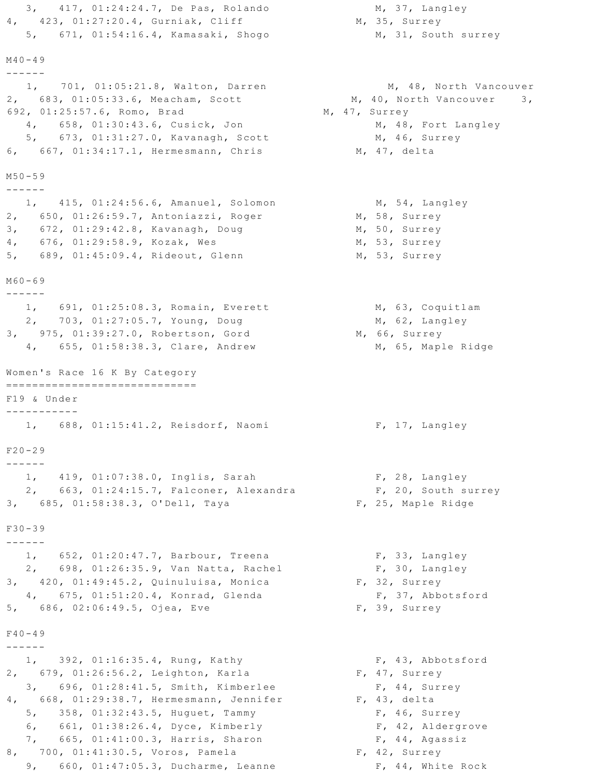```
3, 417, 01:24:24.7, De Pas, Rolando
4, 423, 01:27:20.4, Gurniak, Cliff
  5, 671, 01:54:16.4, Kamasaki, Shogo
M40 - 491, 701, 01:05:21.8, Walton, Darren
2, 683, 01:05:33.6, Meacham, Scott
692, 01:25:57.6, Romo, Brad
  4, 658, 01:30:43.6, Cusick, Jon
  5, 673, 01:31:27.0, Kavanagh, Scott
6, 667, 01:34:17.1, Hermesmann, Chris
M50 - 591, 415, 01:24:56.6, Amanuel, Solomon
2, 650, 01:26:59.7, Antoniazzi, Roger
3, 672, 01:29:42.8, Kavanagh, Doug
4, 676, 01:29:58.9, Kozak, Wes
5, 689, 01:45:09.4, Rideout, Glenn
M60 - 691, 691, 01:25:08.3, Romain, Everett
  2, 703, 01:27:05.7, Young, Doug
3, 975, 01:39:27.0, Robertson, Gord
  4, 655, 01:58:38.3, Clare, Andrew
Women's Race 16 K By Category
=============================
F19 & Under
-----------
  1, 688, 01:15:41.2, Reisdorf, Naomi
F20 - 291, 419, 01:07:38.0, Inglis, Sarah
  2, 663, 01:24:15.7, Falconer, Alexandra
3, 685, 01:58:38.3, O'Dell, Taya
F30 - 39- - - - - -1, 652, 01:20:47.7, Barbour, Treena
  2, 698, 01:26:35.9, Van Natta, Rachel
3, 420, 01:49:45.2, Quinuluisa, Monica
  4, 675, 01:51:20.4, Konrad, Glenda
5, 686, 02:06:49.5, Ojea, Eve
F40 - 491, 392, 01:16:35.4, Rung, Kathy
2, 679, 01:26:56.2, Leighton, Karla
   3, 696, 01:28:41.5, Smith, Kimberlee
4, 668, 01:29:38.7, Hermesmann, Jennifer
  5, 358, 01:32:43.5, Huguet, Tammy
  6, 661, 01:38:26.4, Dyce, Kimberly
  7, 665, 01:41:00.3, Harris, Sharon
8, 700, 01:41:30.5, Voros, Pamela
  9, 660, 01:47:05.3, Ducharme, Leanne
```
M, 37, Langley M, 35, Surrey M, 31, South surrey

M, 48, North Vancouver M, 40, North Vancouver 3, M, 47, Surrey M, 48, Fort Langley M, 46, Surrey M, 47, delta

> M, 54, Langley M, 58, Surrey M, 50, Surrey M, 53, Surrey M, 53, Surrey

M, 63, Coquitlam M, 62, Langley M, 66, Surrey M, 65, Maple Ridge

F, 17, Langley

F, 28, Langley F, 20, South surrey F, 25, Maple Ridge

F, 33, Langley F, 30, Langley F, 32, Surrey F, 37, Abbotsford F, 39, Surrey

F, 43, Abbotsford F, 47, Surrey F, 44, Surrey  $F$ , 43, delta F, 46, Surrey F, 42, Aldergrove F, 44, Agassiz F, 42, Surrey F, 44, White Rock